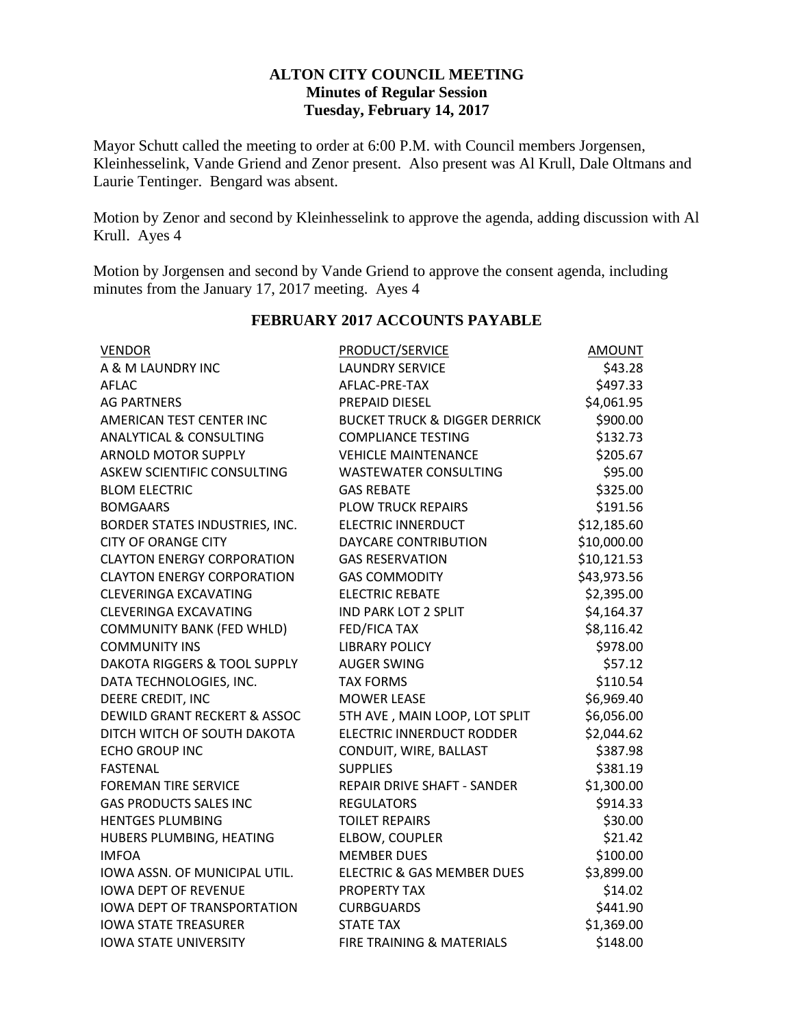### **ALTON CITY COUNCIL MEETING Minutes of Regular Session Tuesday, February 14, 2017**

Mayor Schutt called the meeting to order at 6:00 P.M. with Council members Jorgensen, Kleinhesselink, Vande Griend and Zenor present. Also present was Al Krull, Dale Oltmans and Laurie Tentinger. Bengard was absent.

Motion by Zenor and second by Kleinhesselink to approve the agenda, adding discussion with Al Krull. Ayes 4

Motion by Jorgensen and second by Vande Griend to approve the consent agenda, including minutes from the January 17, 2017 meeting. Ayes 4

| <b>VENDOR</b>                      | <b>PRODUCT/SERVICE</b>                   | <b>AMOUNT</b> |
|------------------------------------|------------------------------------------|---------------|
| A & M LAUNDRY INC                  | <b>LAUNDRY SERVICE</b>                   | \$43.28       |
| <b>AFLAC</b>                       | AFLAC-PRE-TAX                            | \$497.33      |
| <b>AG PARTNERS</b>                 | PREPAID DIESEL                           | \$4,061.95    |
| AMERICAN TEST CENTER INC           | <b>BUCKET TRUCK &amp; DIGGER DERRICK</b> | \$900.00      |
| <b>ANALYTICAL &amp; CONSULTING</b> | <b>COMPLIANCE TESTING</b>                | \$132.73      |
| <b>ARNOLD MOTOR SUPPLY</b>         | <b>VEHICLE MAINTENANCE</b>               | \$205.67      |
| <b>ASKEW SCIENTIFIC CONSULTING</b> | <b>WASTEWATER CONSULTING</b>             | \$95.00       |
| <b>BLOM ELECTRIC</b>               | <b>GAS REBATE</b>                        | \$325.00      |
| <b>BOMGAARS</b>                    | PLOW TRUCK REPAIRS                       | \$191.56      |
| BORDER STATES INDUSTRIES, INC.     | <b>ELECTRIC INNERDUCT</b>                | \$12,185.60   |
| <b>CITY OF ORANGE CITY</b>         | DAYCARE CONTRIBUTION                     | \$10,000.00   |
| <b>CLAYTON ENERGY CORPORATION</b>  | <b>GAS RESERVATION</b>                   | \$10,121.53   |
| <b>CLAYTON ENERGY CORPORATION</b>  | <b>GAS COMMODITY</b>                     | \$43,973.56   |
| <b>CLEVERINGA EXCAVATING</b>       | <b>ELECTRIC REBATE</b>                   | \$2,395.00    |
| <b>CLEVERINGA EXCAVATING</b>       | <b>IND PARK LOT 2 SPLIT</b>              | \$4,164.37    |
| <b>COMMUNITY BANK (FED WHLD)</b>   | <b>FED/FICA TAX</b>                      | \$8,116.42    |
| <b>COMMUNITY INS</b>               | <b>LIBRARY POLICY</b>                    | \$978.00      |
| DAKOTA RIGGERS & TOOL SUPPLY       | <b>AUGER SWING</b>                       | \$57.12       |
| DATA TECHNOLOGIES, INC.            | <b>TAX FORMS</b>                         | \$110.54      |
| DEERE CREDIT, INC                  | <b>MOWER LEASE</b>                       | \$6,969.40    |
| DEWILD GRANT RECKERT & ASSOC       | 5TH AVE, MAIN LOOP, LOT SPLIT            | \$6,056.00    |
| DITCH WITCH OF SOUTH DAKOTA        | ELECTRIC INNERDUCT RODDER                | \$2,044.62    |
| <b>ECHO GROUP INC</b>              | CONDUIT, WIRE, BALLAST                   | \$387.98      |
| <b>FASTENAL</b>                    | <b>SUPPLIES</b>                          | \$381.19      |
| <b>FOREMAN TIRE SERVICE</b>        | REPAIR DRIVE SHAFT - SANDER              | \$1,300.00    |
| <b>GAS PRODUCTS SALES INC</b>      | <b>REGULATORS</b>                        | \$914.33      |
| <b>HENTGES PLUMBING</b>            | <b>TOILET REPAIRS</b>                    | \$30.00       |
| HUBERS PLUMBING, HEATING           | ELBOW, COUPLER                           | \$21.42       |
| <b>IMFOA</b>                       | <b>MEMBER DUES</b>                       | \$100.00      |
| IOWA ASSN. OF MUNICIPAL UTIL.      | ELECTRIC & GAS MEMBER DUES               | \$3,899.00    |
| <b>IOWA DEPT OF REVENUE</b>        | PROPERTY TAX                             | \$14.02       |
| <b>IOWA DEPT OF TRANSPORTATION</b> | <b>CURBGUARDS</b>                        | \$441.90      |
| <b>IOWA STATE TREASURER</b>        | <b>STATE TAX</b>                         | \$1,369.00    |
| <b>IOWA STATE UNIVERSITY</b>       | FIRE TRAINING & MATERIALS                | \$148.00      |

### **FEBRUARY 2017 ACCOUNTS PAYABLE**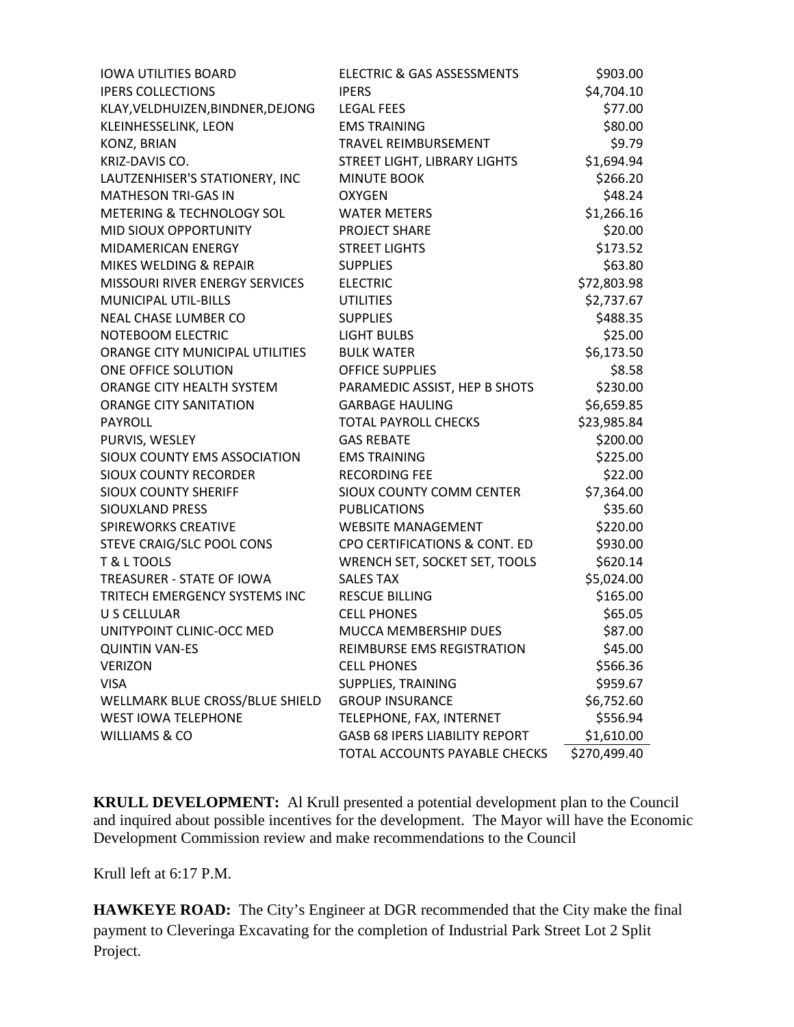| <b>IOWA UTILITIES BOARD</b>          | <b>ELECTRIC &amp; GAS ASSESSMENTS</b> | \$903.00     |
|--------------------------------------|---------------------------------------|--------------|
| <b>IPERS COLLECTIONS</b>             | <b>IPFRS</b>                          | \$4,704.10   |
| KLAY, VELDHUIZEN, BINDNER, DEJONG    | <b>LEGAL FEES</b>                     | \$77.00      |
| KLEINHESSELINK, LEON                 | <b>EMS TRAINING</b>                   | \$80.00      |
| <b>KONZ, BRIAN</b>                   | <b>TRAVEL REIMBURSEMENT</b>           | \$9.79       |
| KRIZ-DAVIS CO.                       | STREET LIGHT, LIBRARY LIGHTS          | \$1,694.94   |
| LAUTZENHISER'S STATIONERY, INC       | <b>MINUTE BOOK</b>                    | \$266.20     |
| <b>MATHESON TRI-GAS IN</b>           | <b>OXYGEN</b>                         | \$48.24      |
| <b>METERING &amp; TECHNOLOGY SOL</b> | <b>WATER METERS</b>                   | \$1,266.16   |
| <b>MID SIOUX OPPORTUNITY</b>         | PROJECT SHARE                         | \$20.00      |
| MIDAMERICAN ENERGY                   | <b>STREET LIGHTS</b>                  | \$173.52     |
| MIKES WELDING & REPAIR               | <b>SUPPLIES</b>                       | \$63.80      |
| MISSOURI RIVER ENERGY SERVICES       | <b>ELECTRIC</b>                       | \$72,803.98  |
| <b>MUNICIPAL UTIL-BILLS</b>          | <b>UTILITIES</b>                      | \$2,737.67   |
| <b>NEAL CHASE LUMBER CO</b>          | <b>SUPPLIES</b>                       | \$488.35     |
| NOTEBOOM ELECTRIC                    | <b>LIGHT BULBS</b>                    | \$25.00      |
| ORANGE CITY MUNICIPAL UTILITIES      | <b>BULK WATER</b>                     | \$6,173.50   |
| ONE OFFICE SOLUTION                  | <b>OFFICE SUPPLIES</b>                | \$8.58       |
| ORANGE CITY HEALTH SYSTEM            | PARAMEDIC ASSIST, HEP B SHOTS         | \$230.00     |
| <b>ORANGE CITY SANITATION</b>        | <b>GARBAGE HAULING</b>                | \$6,659.85   |
| <b>PAYROLL</b>                       | <b>TOTAL PAYROLL CHECKS</b>           | \$23,985.84  |
| PURVIS, WESLEY                       | <b>GAS REBATE</b>                     | \$200.00     |
| SIOUX COUNTY EMS ASSOCIATION         | <b>EMS TRAINING</b>                   | \$225.00     |
| <b>SIOUX COUNTY RECORDER</b>         | <b>RECORDING FEE</b>                  | \$22.00      |
| <b>SIOUX COUNTY SHERIFF</b>          | SIOUX COUNTY COMM CENTER              | \$7,364.00   |
| SIOUXLAND PRESS                      | <b>PUBLICATIONS</b>                   | \$35.60      |
| <b>SPIREWORKS CREATIVE</b>           | <b>WEBSITE MANAGEMENT</b>             | \$220.00     |
| STEVE CRAIG/SLC POOL CONS            | CPO CERTIFICATIONS & CONT. ED         | \$930.00     |
| T & L TOOLS                          | WRENCH SET, SOCKET SET, TOOLS         | \$620.14     |
| TREASURER - STATE OF IOWA            | <b>SALES TAX</b>                      | \$5,024.00   |
| TRITECH EMERGENCY SYSTEMS INC        | <b>RESCUE BILLING</b>                 | \$165.00     |
| U S CELLULAR                         | <b>CELL PHONES</b>                    | \$65.05      |
| UNITYPOINT CLINIC-OCC MED            | MUCCA MEMBERSHIP DUES                 | \$87.00      |
| <b>QUINTIN VAN-ES</b>                | REIMBURSE EMS REGISTRATION            | \$45.00      |
| <b>VERIZON</b>                       | <b>CELL PHONES</b>                    | \$566.36     |
| <b>VISA</b>                          | SUPPLIES, TRAINING                    | \$959.67     |
| WELLMARK BLUE CROSS/BLUE SHIELD      | <b>GROUP INSURANCE</b>                | \$6,752.60   |
| <b>WEST IOWA TELEPHONE</b>           | TELEPHONE, FAX, INTERNET              | \$556.94     |
| <b>WILLIAMS &amp; CO</b>             | <b>GASB 68 IPERS LIABILITY REPORT</b> | \$1,610.00   |
|                                      | TOTAL ACCOUNTS PAYABLE CHECKS         | \$270,499.40 |

**KRULL DEVELOPMENT:** Al Krull presented a potential development plan to the Council and inquired about possible incentives for the development. The Mayor will have the Economic Development Commission review and make recommendations to the Council

Krull left at 6:17 P.M.

**HAWKEYE ROAD:** The City's Engineer at DGR recommended that the City make the final payment to Cleveringa Excavating for the completion of Industrial Park Street Lot 2 Split Project.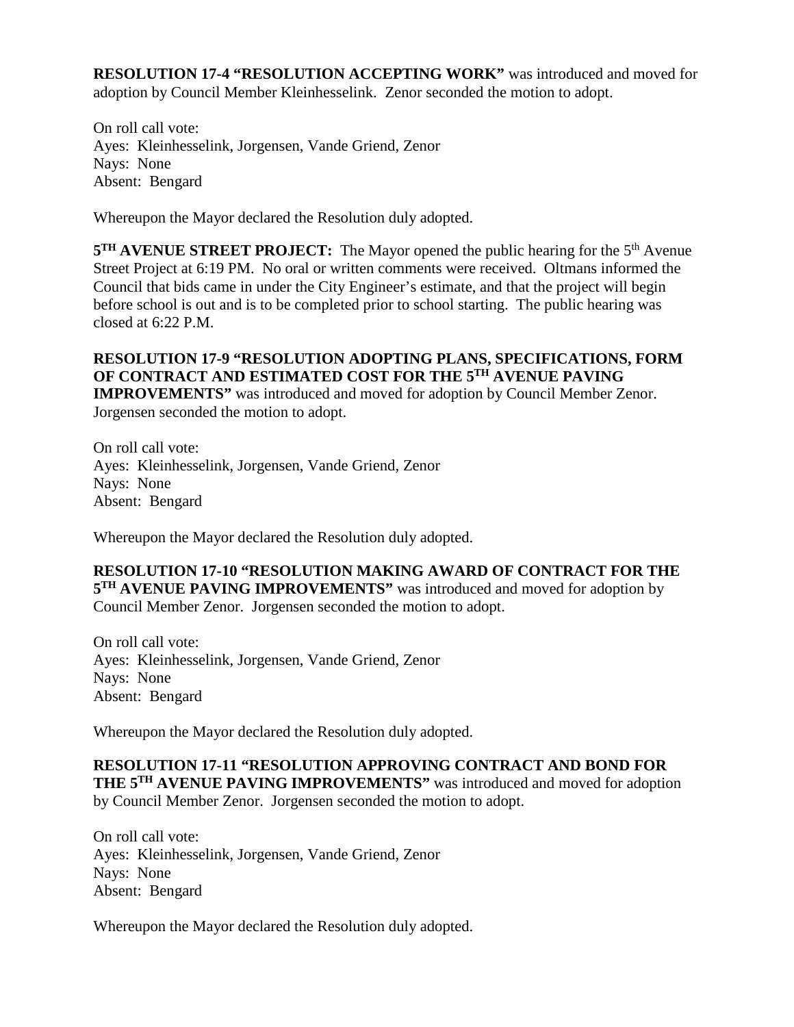**RESOLUTION 17-4 "RESOLUTION ACCEPTING WORK"** was introduced and moved for adoption by Council Member Kleinhesselink. Zenor seconded the motion to adopt.

On roll call vote: Ayes: Kleinhesselink, Jorgensen, Vande Griend, Zenor Nays: None Absent: Bengard

Whereupon the Mayor declared the Resolution duly adopted.

**5<sup>TH</sup> AVENUE STREET PROJECT:** The Mayor opened the public hearing for the 5<sup>th</sup> Avenue Street Project at 6:19 PM. No oral or written comments were received. Oltmans informed the Council that bids came in under the City Engineer's estimate, and that the project will begin before school is out and is to be completed prior to school starting. The public hearing was closed at 6:22 P.M.

**RESOLUTION 17-9 "RESOLUTION ADOPTING PLANS, SPECIFICATIONS, FORM OF CONTRACT AND ESTIMATED COST FOR THE 5TH AVENUE PAVING IMPROVEMENTS"** was introduced and moved for adoption by Council Member Zenor. Jorgensen seconded the motion to adopt.

On roll call vote: Ayes: Kleinhesselink, Jorgensen, Vande Griend, Zenor Nays: None Absent: Bengard

Whereupon the Mayor declared the Resolution duly adopted.

**RESOLUTION 17-10 "RESOLUTION MAKING AWARD OF CONTRACT FOR THE 5TH AVENUE PAVING IMPROVEMENTS"** was introduced and moved for adoption by Council Member Zenor. Jorgensen seconded the motion to adopt.

On roll call vote: Ayes: Kleinhesselink, Jorgensen, Vande Griend, Zenor Nays: None Absent: Bengard

Whereupon the Mayor declared the Resolution duly adopted.

#### **RESOLUTION 17-11 "RESOLUTION APPROVING CONTRACT AND BOND FOR THE 5TH AVENUE PAVING IMPROVEMENTS"** was introduced and moved for adoption by Council Member Zenor. Jorgensen seconded the motion to adopt.

On roll call vote: Ayes: Kleinhesselink, Jorgensen, Vande Griend, Zenor Nays: None Absent: Bengard

Whereupon the Mayor declared the Resolution duly adopted.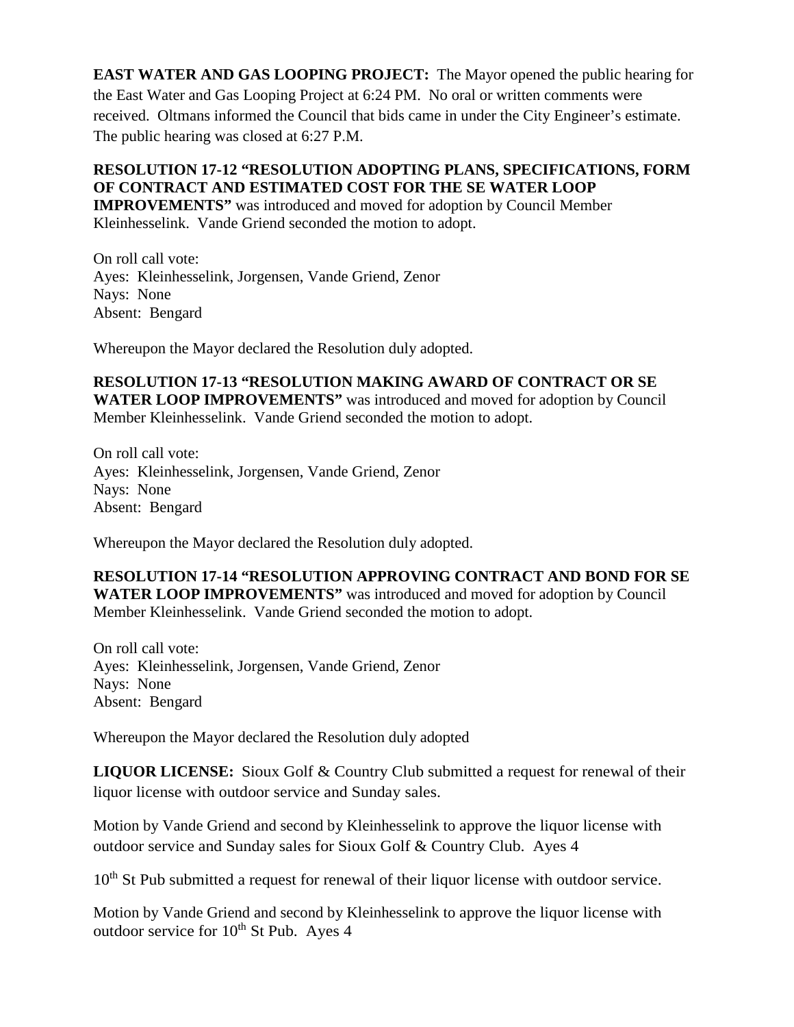**EAST WATER AND GAS LOOPING PROJECT:** The Mayor opened the public hearing for the East Water and Gas Looping Project at 6:24 PM. No oral or written comments were received. Oltmans informed the Council that bids came in under the City Engineer's estimate. The public hearing was closed at 6:27 P.M.

# **RESOLUTION 17-12 "RESOLUTION ADOPTING PLANS, SPECIFICATIONS, FORM OF CONTRACT AND ESTIMATED COST FOR THE SE WATER LOOP**

**IMPROVEMENTS"** was introduced and moved for adoption by Council Member Kleinhesselink. Vande Griend seconded the motion to adopt.

On roll call vote: Ayes: Kleinhesselink, Jorgensen, Vande Griend, Zenor Nays: None Absent: Bengard

Whereupon the Mayor declared the Resolution duly adopted.

**RESOLUTION 17-13 "RESOLUTION MAKING AWARD OF CONTRACT OR SE WATER LOOP IMPROVEMENTS"** was introduced and moved for adoption by Council Member Kleinhesselink. Vande Griend seconded the motion to adopt.

On roll call vote: Ayes: Kleinhesselink, Jorgensen, Vande Griend, Zenor Nays: None Absent: Bengard

Whereupon the Mayor declared the Resolution duly adopted.

**RESOLUTION 17-14 "RESOLUTION APPROVING CONTRACT AND BOND FOR SE WATER LOOP IMPROVEMENTS"** was introduced and moved for adoption by Council Member Kleinhesselink. Vande Griend seconded the motion to adopt.

On roll call vote: Ayes: Kleinhesselink, Jorgensen, Vande Griend, Zenor Nays: None Absent: Bengard

Whereupon the Mayor declared the Resolution duly adopted

**LIQUOR LICENSE:** Sioux Golf & Country Club submitted a request for renewal of their liquor license with outdoor service and Sunday sales.

Motion by Vande Griend and second by Kleinhesselink to approve the liquor license with outdoor service and Sunday sales for Sioux Golf & Country Club. Ayes 4

10<sup>th</sup> St Pub submitted a request for renewal of their liquor license with outdoor service.

Motion by Vande Griend and second by Kleinhesselink to approve the liquor license with outdoor service for 10<sup>th</sup> St Pub. Ayes 4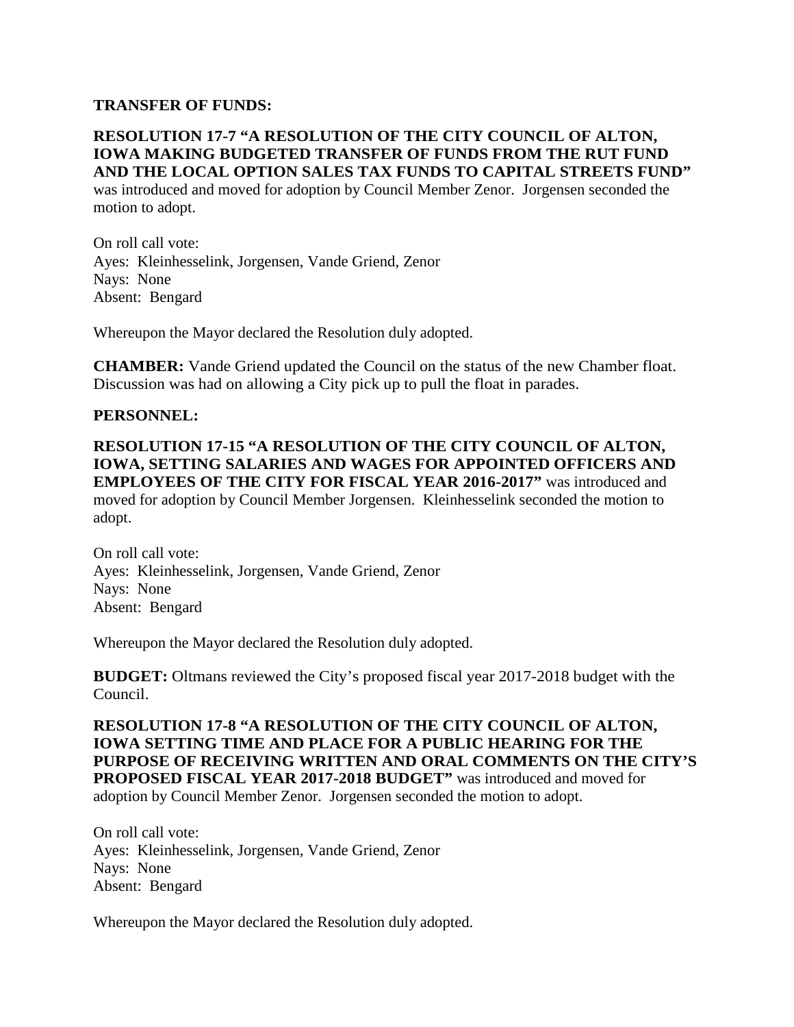#### **TRANSFER OF FUNDS:**

## **RESOLUTION 17-7 "A RESOLUTION OF THE CITY COUNCIL OF ALTON, IOWA MAKING BUDGETED TRANSFER OF FUNDS FROM THE RUT FUND AND THE LOCAL OPTION SALES TAX FUNDS TO CAPITAL STREETS FUND"**

was introduced and moved for adoption by Council Member Zenor. Jorgensen seconded the motion to adopt.

On roll call vote: Ayes: Kleinhesselink, Jorgensen, Vande Griend, Zenor Nays: None Absent: Bengard

Whereupon the Mayor declared the Resolution duly adopted.

**CHAMBER:** Vande Griend updated the Council on the status of the new Chamber float. Discussion was had on allowing a City pick up to pull the float in parades.

#### **PERSONNEL:**

**RESOLUTION 17-15 "A RESOLUTION OF THE CITY COUNCIL OF ALTON, IOWA, SETTING SALARIES AND WAGES FOR APPOINTED OFFICERS AND EMPLOYEES OF THE CITY FOR FISCAL YEAR 2016-2017"** was introduced and moved for adoption by Council Member Jorgensen. Kleinhesselink seconded the motion to adopt.

On roll call vote: Ayes: Kleinhesselink, Jorgensen, Vande Griend, Zenor Nays: None Absent: Bengard

Whereupon the Mayor declared the Resolution duly adopted.

**BUDGET:** Oltmans reviewed the City's proposed fiscal year 2017-2018 budget with the Council.

**RESOLUTION 17-8 "A RESOLUTION OF THE CITY COUNCIL OF ALTON, IOWA SETTING TIME AND PLACE FOR A PUBLIC HEARING FOR THE PURPOSE OF RECEIVING WRITTEN AND ORAL COMMENTS ON THE CITY'S PROPOSED FISCAL YEAR 2017-2018 BUDGET"** was introduced and moved for adoption by Council Member Zenor. Jorgensen seconded the motion to adopt.

On roll call vote: Ayes: Kleinhesselink, Jorgensen, Vande Griend, Zenor Nays: None Absent: Bengard

Whereupon the Mayor declared the Resolution duly adopted.